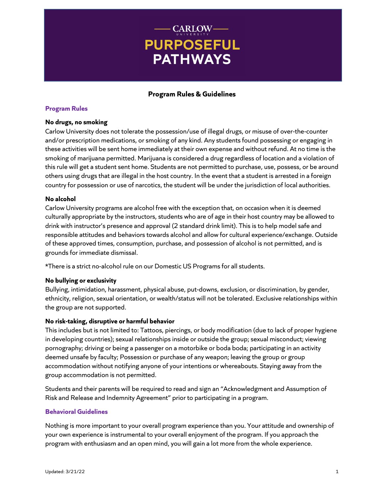# **CARLOW-PURPOSEFUL PATHWAYS**

## **Program Rules & Guidelines**

## **Program Rules**

### **No drugs, no smoking**

Carlow University does not tolerate the possession/use of illegal drugs, or misuse of over-the-counter and/or prescription medications, or smoking of any kind. Any students found possessing or engaging in these activities will be sent home immediately at their own expense and without refund. At no time is the smoking of marijuana permitted. Marijuana is considered a drug regardless of location and a violation of this rule will get a student sent home. Students are not permitted to purchase, use, possess, or be around others using drugs that are illegal in the host country. In the event that a student is arrested in a foreign country for possession or use of narcotics, the student will be under the jurisdiction of local authorities.

### **No alcohol**

Carlow University programs are alcohol free with the exception that, on occasion when it is deemed culturally appropriate by the instructors, students who are of age in their host country may be allowed to drink with instructor's presence and approval (2 standard drink limit). This is to help model safe and responsible attitudes and behaviors towards alcohol and allow for cultural experience/exchange. Outside of these approved times, consumption, purchase, and possession of alcohol is not permitted, and is grounds for immediate dismissal.

\*There is a strict no-alcohol rule on our Domestic US Programs for all students.

## **No bullying or exclusivity**

Bullying, intimidation, harassment, physical abuse, put-downs, exclusion, or discrimination, by gender, ethnicity, religion, sexual orientation, or wealth/status will not be tolerated. Exclusive relationships within the group are not supported.

## **No risk-taking, disruptive or harmful behavior**

This includes but is not limited to: Tattoos, piercings, or body modification (due to lack of proper hygiene in developing countries); sexual relationships inside or outside the group; sexual misconduct; viewing pornography; driving or being a passenger on a motorbike or boda boda; participating in an activity deemed unsafe by faculty; Possession or purchase of any weapon; leaving the group or group accommodation without notifying anyone of your intentions or whereabouts. Staying away from the group accommodation is not permitted.

Students and their parents will be required to read and sign an "Acknowledgment and Assumption of Risk and Release and Indemnity Agreement" prior to participating in a program.

## **Behavioral Guidelines**

Nothing is more important to your overall program experience than you. Your attitude and ownership of your own experience is instrumental to your overall enjoyment of the program. If you approach the program with enthusiasm and an open mind, you will gain a lot more from the whole experience.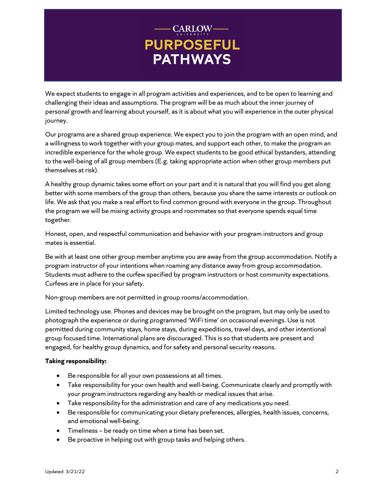# - CARLOW-**PURPOSEFUL PATHWAYS**

We expect students to engage in all program activities and experiences, and to be open to learning and challenging their ideas and assumptions. The program will be as much about the inner journey of personal growth and learning about yourself, as it is about what you will experience in the outer physical journey.

Our programs are a shared group experience. We expect you to join the program with an open mind, and a willingness to work together with your group mates, and support each other, to make the program an incredible experience for the whole group. We expect students to be good ethical bystanders, attending to the well-being of all group members (E.g. taking appropriate action when other group members put themselves at risk).

A healthy group dynamic takes some effort on your part and it is natural that you will find you get along better with some members of the group than others, because you share the same interests or outlook on life. We ask that you make a real effort to find common ground with everyone in the group. Throughout the program we will be mixing activity groups and roommates so that everyone spends equal time together.

Honest, open, and respectful communication and behavior with your program instructors and group mates is essential.

Be with at least one other group member anytime you are away from the group accommodation. Notify a program instructor of your intentions when roaming any distance away from group accommodation. Students must adhere to the curfew specified by program instructors or host community expectations. Curfews are in place for your safety.

Non-group members are not permitted in group rooms/accommodation.

Limited technology use. Phones and devices may be brought on the program, but may only be used to photograph the experience or during programmed 'WiFi time' on occasional evenings. Use is not permitted during community stays, home stays, during expeditions, travel days, and other intentional group focused time. International plans are discouraged. This is so that students are present and engaged, for healthy group dynamics, and for safety and personal security reasons.

## **Taking responsibility:**

- Be responsible for all your own possessions at all times.
- Take responsibility for your own health and well-being. Communicate clearly and promptly with your program instructors regarding any health or medical issues that arise.
- Take responsibility for the administration and care of any medications you need.
- Be responsible for communicating your dietary preferences, allergies, health issues, concerns, and emotional well-being.
- Timeliness be ready on time when a time has been set.
- Be proactive in helping out with group tasks and helping others.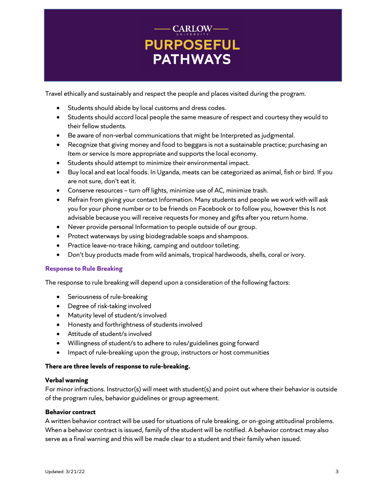# - CARLOW-**PURPOSEFUL PATHWAYS**

Travel ethically and sustainably and respect the people and places visited during the program.

- Students should abide by local customs and dress codes.
- Students should accord local people the same measure of respect and courtesy they would to their fellow students.
- Be aware of non-verbal communications that might be Interpreted as judgmental.
- Recognize that giving money and food to beggars is not a sustainable practice; purchasing an Item or service Is more appropriate and supports the local economy.
- Students should attempt to minimize their environmental impact.
- Buy local and eat local foods. In Uganda, meats can be categorized as animal, fish or bird. If you are not sure, don't eat it.
- Conserve resources turn off lights, minimize use of AC, minimize trash.
- Refrain from giving your contact Information. Many students and people we work with will ask you for your phone number or to be friends on Facebook or to follow you, however this Is not advisable because you will receive requests for money and gifts after you return home.
- Never provide personal Information to people outside of our group.
- Protect waterways by using biodegradable soaps and shampoos.
- Practice leave-no-trace hiking, camping and outdoor toileting.
- Don't buy products made from wild animals, tropical hardwoods, shells, coral or ivory.

## **Response to Rule Breaking**

The response to rule breaking will depend upon a consideration of the following factors:

- Seriousness of rule-breaking
- Degree of risk-taking involved
- Maturity level of student/s involved
- Honesty and forthrightness of students involved
- Attitude of student/s involved
- Willingness of student/s to adhere to rules/guidelines going forward
- Impact of rule-breaking upon the group, instructors or host communities

## **There are three levels of response to rule-breaking.**

#### **Verbal warning**

For minor infractions. Instructor(s) will meet with student(s) and point out where their behavior is outside of the program rules, behavior guidelines or group agreement.

## **Behavior contract**

A written behavior contract will be used for situations of rule breaking, or on-going attitudinal problems. When a behavior contract is issued, family of the student will be notified. A behavior contract may also serve as a final warning and this will be made clear to a student and their family when issued.